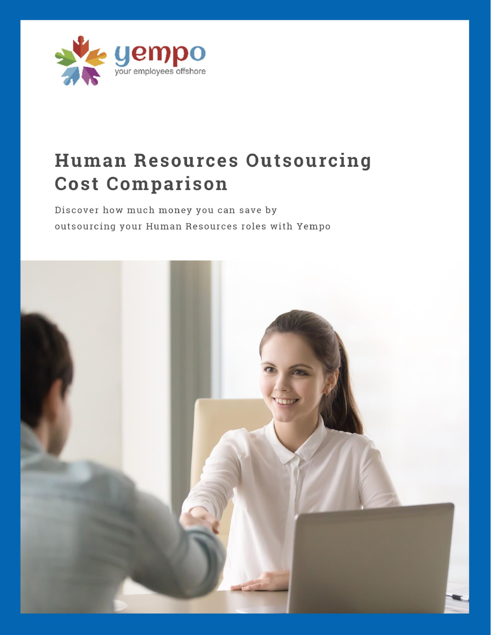

# **Human Resources Outsourcing Cost Comparison**

Discover how much money you can save by outsourcing your Human Resources roles with Yempo

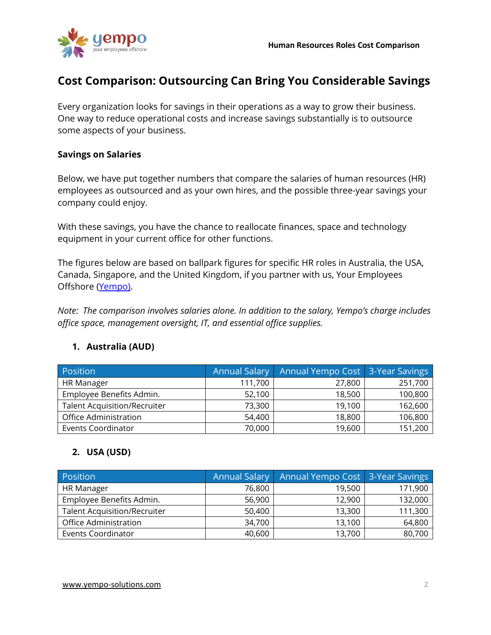

## **Cost Comparison: Outsourcing Can Bring You Considerable Savings**

Every organization looks for savings in their operations as a way to grow their business. One way to reduce operational costs and increase savings substantially is to outsource some aspects of your business.

## **Savings on Salaries**

Below, we have put together numbers that compare the salaries of human resources (HR) employees as outsourced and as your own hires, and the possible three-year savings your company could enjoy.

With these savings, you have the chance to reallocate finances, space and technology equipment in your current office for other functions.

The figures below are based on ballpark figures for specific HR roles in Australia, the USA, Canada, Singapore, and the United Kingdom, if you partner with us, Your Employees Offshore [\(Yempo\)](https://www.yempo-solutions.com/).

*Note: The comparison involves salaries alone. In addition to the salary, Yempo's charge includes office space, management oversight, IT, and essential office supplies.*

## **1. Australia (AUD)**

| Position                            | <b>Annual Salary</b> | Annual Yempo Cost   3-Year Savings |         |
|-------------------------------------|----------------------|------------------------------------|---------|
| HR Manager                          | 111,700              | 27,800                             | 251,700 |
| Employee Benefits Admin.            | 52,100               | 18,500                             | 100,800 |
| <b>Talent Acquisition/Recruiter</b> | 73,300               | 19,100                             | 162,600 |
| <b>Office Administration</b>        | 54,400               | 18,800                             | 106,800 |
| <b>Events Coordinator</b>           | 70,000               | 19,600                             | 151,200 |

## **2. USA (USD)**

| Position                            | <b>Annual Salary</b> | Annual Yempo Cost 3-Year Savings |         |
|-------------------------------------|----------------------|----------------------------------|---------|
| <b>HR Manager</b>                   | 76,800               | 19,500                           | 171,900 |
| Employee Benefits Admin.            | 56,900               | 12,900                           | 132,000 |
| <b>Talent Acquisition/Recruiter</b> | 50,400               | 13,300                           | 111,300 |
| Office Administration               | 34,700               | 13,100                           | 64,800  |
| <b>Events Coordinator</b>           | 40,600               | 13,700                           | 80,700  |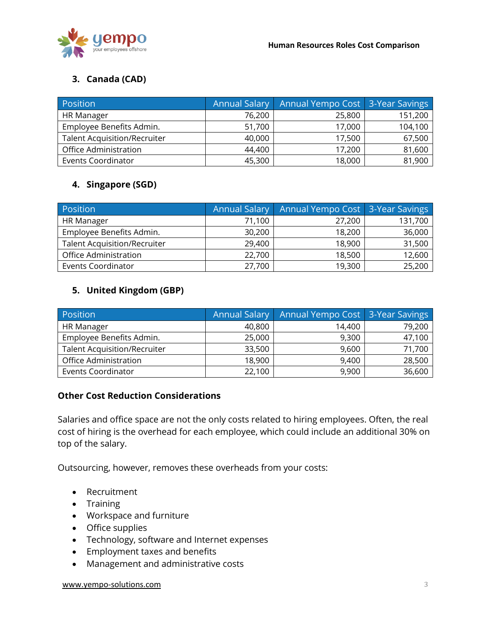

## **3. Canada (CAD)**

| Position                            | <b>Annual Salary</b> | Annual Yempo Cost   3-Year Savings |         |
|-------------------------------------|----------------------|------------------------------------|---------|
| <b>HR Manager</b>                   | 76,200               | 25,800                             | 151,200 |
| Employee Benefits Admin.            | 51,700               | 17,000                             | 104,100 |
| <b>Talent Acquisition/Recruiter</b> | 40,000               | 17,500                             | 67,500  |
| Office Administration               | 44,400               | 17,200                             | 81,600  |
| <b>Events Coordinator</b>           | 45,300               | 18,000                             | 81,900  |

## **4. Singapore (SGD)**

| Position                            | <b>Annual Salary</b> | Annual Yempo Cost 3-Year Savings |         |
|-------------------------------------|----------------------|----------------------------------|---------|
| HR Manager                          | 71,100               | 27,200                           | 131,700 |
| Employee Benefits Admin.            | 30,200               | 18,200                           | 36,000  |
| <b>Talent Acquisition/Recruiter</b> | 29,400               | 18,900                           | 31,500  |
| <b>Office Administration</b>        | 22,700               | 18,500                           | 12,600  |
| <b>Events Coordinator</b>           | 27,700               | 19,300                           | 25,200  |

## **5. United Kingdom (GBP)**

| Position                            | <b>Annual Salary</b> | Annual Yempo Cost   3-Year Savings |        |
|-------------------------------------|----------------------|------------------------------------|--------|
| <b>HR Manager</b>                   | 40,800               | 14,400                             | 79,200 |
| Employee Benefits Admin.            | 25,000               | 9,300                              | 47,100 |
| <b>Talent Acquisition/Recruiter</b> | 33,500               | 9,600                              | 71,700 |
| <b>Office Administration</b>        | 18,900               | 9,400                              | 28,500 |
| <b>Events Coordinator</b>           | 22,100               | 9,900                              | 36,600 |

## **Other Cost Reduction Considerations**

Salaries and office space are not the only costs related to hiring employees. Often, the real cost of hiring is the overhead for each employee, which could include an additional 30% on top of the salary.

Outsourcing, however, removes these overheads from your costs:

- Recruitment
- Training
- Workspace and furniture
- Office supplies
- Technology, software and Internet expenses
- Employment taxes and benefits
- Management and administrative costs